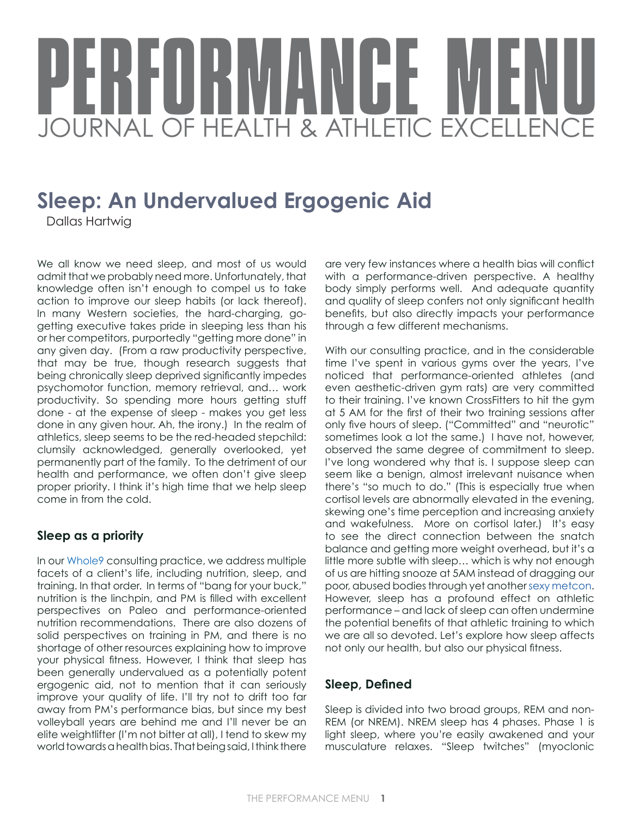# BEURVOANEE MEN JOURNAL OF HEALTH & ATHLETIC EXCELLENCE

## **Sleep: An Undervalued Ergogenic Aid**

Dallas Hartwig

We all know we need sleep, and most of us would admit that we probably need more. Unfortunately, that knowledge often isn't enough to compel us to take action to improve our sleep habits (or lack thereof). In many Western societies, the hard-charging, gogetting executive takes pride in sleeping less than his or her competitors, purportedly "getting more done" in any given day. (From a raw productivity perspective, that may be true, though research suggests that being chronically sleep deprived significantly impedes psychomotor function, memory retrieval, and… work productivity. So spending more hours getting stuff done - at the expense of sleep - makes you get less done in any given hour. Ah, the irony.) In the realm of athletics, sleep seems to be the red-headed stepchild: clumsily acknowledged, generally overlooked, yet permanently part of the family. To the detriment of our health and performance, we often don't give sleep proper priority. I think it's high time that we help sleep come in from the cold.

#### **Sleep as a priority**

In our [Whole9](http://whole9life.com/) consulting practice, we address multiple facets of a client's life, including nutrition, sleep, and training. In that order. In terms of "bang for your buck," nutrition is the linchpin, and PM is filled with excellent perspectives on Paleo and performance-oriented nutrition recommendations. There are also dozens of solid perspectives on training in PM, and there is no shortage of other resources explaining how to improve your physical fitness. However, I think that sleep has been generally undervalued as a potentially potent ergogenic aid, not to mention that it can seriously improve your quality of life. I'll try not to drift too far away from PM's performance bias, but since my best volleyball years are behind me and I'll never be an elite weightlifter (I'm not bitter at all), I tend to skew my world towards a health bias. That being said, I think there

are very few instances where a health bias will conflict with a performance-driven perspective. A healthy body simply performs well. And adequate quantity and quality of sleep confers not only significant health benefits, but also directly impacts your performance through a few different mechanisms.

With our consulting practice, and in the considerable time I've spent in various gyms over the years, I've noticed that performance-oriented athletes (and even aesthetic-driven gym rats) are very committed to their training. I've known CrossFitters to hit the gym at 5 AM for the first of their two training sessions after only five hours of sleep. ("Committed" and "neurotic" sometimes look a lot the same.) I have not, however, observed the same degree of commitment to sleep. I've long wondered why that is. I suppose sleep can seem like a benign, almost irrelevant nuisance when there's "so much to do." (This is especially true when cortisol levels are abnormally elevated in the evening, skewing one's time perception and increasing anxiety and wakefulness. More on cortisol later.) It's easy to see the direct connection between the snatch balance and getting more weight overhead, but it's a little more subtle with sleep… which is why not enough of us are hitting snooze at 5AM instead of dragging our poor, abused bodies through yet another [sexy metcon](http://whole9life.com/2009/12/beware-the-lure-of-the-sexy-met-con/). However, sleep has a profound effect on athletic performance – and lack of sleep can often undermine the potential benefits of that athletic training to which we are all so devoted. Let's explore how sleep affects not only our health, but also our physical fitness.

#### **Sleep, Defined**

Sleep is divided into two broad groups, REM and non-REM (or NREM). NREM sleep has 4 phases. Phase 1 is light sleep, where you're easily awakened and your musculature relaxes. "Sleep twitches" (myoclonic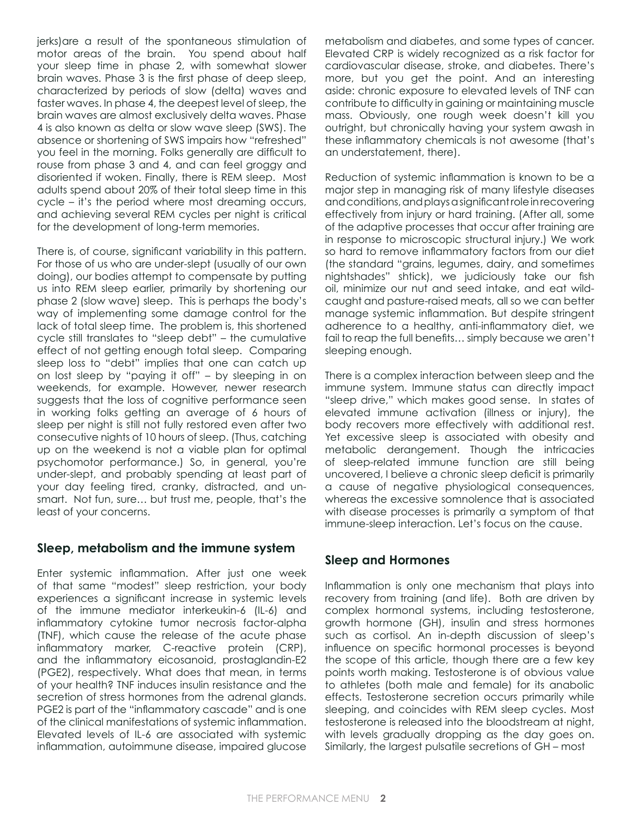jerks)are a result of the spontaneous stimulation of motor areas of the brain. You spend about half your sleep time in phase 2, with somewhat slower brain waves. Phase 3 is the first phase of deep sleep, characterized by periods of slow (delta) waves and faster waves. In phase 4, the deepest level of sleep, the brain waves are almost exclusively delta waves. Phase 4 is also known as delta or slow wave sleep (SWS). The absence or shortening of SWS impairs how "refreshed" you feel in the morning. Folks generally are difficult to rouse from phase 3 and 4, and can feel groggy and disoriented if woken. Finally, there is REM sleep. Most adults spend about 20% of their total sleep time in this cycle – it's the period where most dreaming occurs, and achieving several REM cycles per night is critical for the development of long-term memories.

There is, of course, significant variability in this pattern. For those of us who are under-slept (usually of our own doing), our bodies attempt to compensate by putting us into REM sleep earlier, primarily by shortening our phase 2 (slow wave) sleep. This is perhaps the body's way of implementing some damage control for the lack of total sleep time. The problem is, this shortened cycle still translates to "sleep debt" – the cumulative effect of not getting enough total sleep. Comparing sleep loss to "debt" implies that one can catch up on lost sleep by "paying it off" – by sleeping in on weekends, for example. However, newer research suggests that the loss of cognitive performance seen in working folks getting an average of 6 hours of sleep per night is still not fully restored even after two consecutive nights of 10 hours of sleep. (Thus, catching up on the weekend is not a viable plan for optimal psychomotor performance.) So, in general, you're under-slept, and probably spending at least part of your day feeling tired, cranky, distracted, and unsmart. Not fun, sure… but trust me, people, that's the least of your concerns.

#### **Sleep, metabolism and the immune system**

Enter systemic inflammation. After just one week of that same "modest" sleep restriction, your body experiences a significant increase in systemic levels of the immune mediator interkeukin-6 (IL-6) and inflammatory cytokine tumor necrosis factor-alpha (TNF), which cause the release of the acute phase inflammatory marker, C-reactive protein (CRP), and the inflammatory eicosanoid, prostaglandin-E2 (PGE2), respectively. What does that mean, in terms of your health? TNF induces insulin resistance and the secretion of stress hormones from the adrenal glands. PGE2 is part of the "inflammatory cascade" and is one of the clinical manifestations of systemic inflammation. Elevated levels of IL-6 are associated with systemic inflammation, autoimmune disease, impaired glucose metabolism and diabetes, and some types of cancer. Elevated CRP is widely recognized as a risk factor for cardiovascular disease, stroke, and diabetes. There's more, but you get the point. And an interesting aside: chronic exposure to elevated levels of TNF can contribute to difficulty in gaining or maintaining muscle mass. Obviously, one rough week doesn't kill you outright, but chronically having your system awash in these inflammatory chemicals is not awesome (that's an understatement, there).

Reduction of systemic inflammation is known to be a major step in managing risk of many lifestyle diseases and conditions, and plays a significant role in recovering effectively from injury or hard training. (After all, some of the adaptive processes that occur after training are in response to microscopic structural injury.) We work so hard to remove inflammatory factors from our diet (the standard "grains, legumes, dairy, and sometimes nightshades" shtick), we judiciously take our fish oil, minimize our nut and seed intake, and eat wildcaught and pasture-raised meats, all so we can better manage systemic inflammation. But despite stringent adherence to a healthy, anti-inflammatory diet, we fail to reap the full benefits… simply because we aren't sleeping enough.

There is a complex interaction between sleep and the immune system. Immune status can directly impact "sleep drive," which makes good sense. In states of elevated immune activation (illness or injury), the body recovers more effectively with additional rest. Yet excessive sleep is associated with obesity and metabolic derangement. Though the intricacies of sleep-related immune function are still being uncovered, I believe a chronic sleep deficit is primarily a cause of negative physiological consequences, whereas the excessive somnolence that is associated with disease processes is primarily a symptom of that immune-sleep interaction. Let's focus on the cause.

#### **Sleep and Hormones**

Inflammation is only one mechanism that plays into recovery from training (and life). Both are driven by complex hormonal systems, including testosterone, growth hormone (GH), insulin and stress hormones such as cortisol. An in-depth discussion of sleep's influence on specific hormonal processes is beyond the scope of this article, though there are a few key points worth making. Testosterone is of obvious value to athletes (both male and female) for its anabolic effects. Testosterone secretion occurs primarily while sleeping, and coincides with REM sleep cycles. Most testosterone is released into the bloodstream at night, with levels gradually dropping as the day goes on. Similarly, the largest pulsatile secretions of GH – most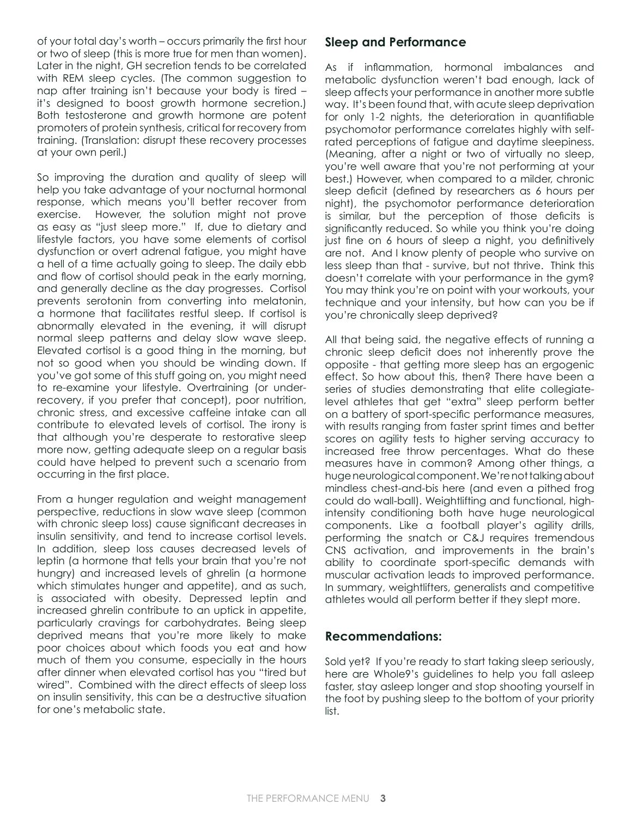of your total day's worth – occurs primarily the first hour or two of sleep (this is more true for men than women). Later in the night, GH secretion tends to be correlated with REM sleep cycles. (The common suggestion to nap after training isn't because your body is tired – it's designed to boost growth hormone secretion.) Both testosterone and growth hormone are potent promoters of protein synthesis, critical for recovery from training. (Translation: disrupt these recovery processes at your own peril.)

So improving the duration and quality of sleep will help you take advantage of your nocturnal hormonal response, which means you'll better recover from exercise. However, the solution might not prove as easy as "just sleep more." If, due to dietary and lifestyle factors, you have some elements of cortisol dysfunction or overt adrenal fatigue, you might have a hell of a time actually going to sleep. The daily ebb and flow of cortisol should peak in the early morning, and generally decline as the day progresses. Cortisol prevents serotonin from converting into melatonin, a hormone that facilitates restful sleep. If cortisol is abnormally elevated in the evening, it will disrupt normal sleep patterns and delay slow wave sleep. Elevated cortisol is a good thing in the morning, but not so good when you should be winding down. If you've got some of this stuff going on, you might need to re-examine your lifestyle. Overtraining (or underrecovery, if you prefer that concept), poor nutrition, chronic stress, and excessive caffeine intake can all contribute to elevated levels of cortisol. The irony is that although you're desperate to restorative sleep more now, getting adequate sleep on a regular basis could have helped to prevent such a scenario from occurring in the first place.

From a hunger regulation and weight management perspective, reductions in slow wave sleep (common with chronic sleep loss) cause significant decreases in insulin sensitivity, and tend to increase cortisol levels. In addition, sleep loss causes decreased levels of leptin (a hormone that tells your brain that you're not hungry) and increased levels of ghrelin (a hormone which stimulates hunger and appetite), and as such, is associated with obesity. Depressed leptin and increased ghrelin contribute to an uptick in appetite, particularly cravings for carbohydrates. Being sleep deprived means that you're more likely to make poor choices about which foods you eat and how much of them you consume, especially in the hours after dinner when elevated cortisol has you "tired but wired". Combined with the direct effects of sleep loss on insulin sensitivity, this can be a destructive situation for one's metabolic state.

#### **Sleep and Performance**

As if inflammation, hormonal imbalances and metabolic dysfunction weren't bad enough, lack of sleep affects your performance in another more subtle way. It's been found that, with acute sleep deprivation for only 1-2 nights, the deterioration in quantifiable psychomotor performance correlates highly with selfrated perceptions of fatigue and daytime sleepiness. (Meaning, after a night or two of virtually no sleep, you're well aware that you're not performing at your best.) However, when compared to a milder, chronic sleep deficit (defined by researchers as 6 hours per night), the psychomotor performance deterioration is similar, but the perception of those deficits is significantly reduced. So while you think you're doing just fine on 6 hours of sleep a night, you definitively are not. And I know plenty of people who survive on less sleep than that - survive, but not thrive. Think this doesn't correlate with your performance in the gym? You may think you're on point with your workouts, your technique and your intensity, but how can you be if you're chronically sleep deprived?

All that being said, the negative effects of running a chronic sleep deficit does not inherently prove the opposite - that getting more sleep has an ergogenic effect. So how about this, then? There have been a series of studies demonstrating that elite collegiatelevel athletes that get "extra" sleep perform better on a battery of sport-specific performance measures, with results ranging from faster sprint times and better scores on agility tests to higher serving accuracy to increased free throw percentages. What do these measures have in common? Among other things, a huge neurological component. We're not talking about mindless chest-and-bis here (and even a pithed frog could do wall-ball). Weightlifting and functional, highintensity conditioning both have huge neurological components. Like a football player's agility drills, performing the snatch or C&J requires tremendous CNS activation, and improvements in the brain's ability to coordinate sport-specific demands with muscular activation leads to improved performance. In summary, weightlifters, generalists and competitive athletes would all perform better if they slept more.

#### **Recommendations:**

Sold yet? If you're ready to start taking sleep seriously, here are Whole9's guidelines to help you fall asleep faster, stay asleep longer and stop shooting yourself in the foot by pushing sleep to the bottom of your priority list.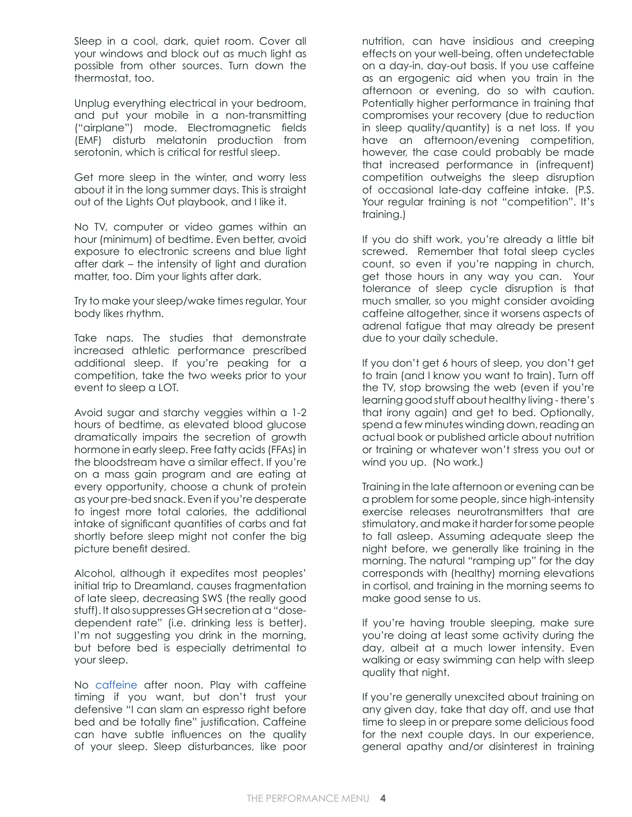Sleep in a cool, dark, quiet room. Cover all your windows and block out as much light as possible from other sources. Turn down the thermostat, too.

Unplug everything electrical in your bedroom, and put your mobile in a non-transmitting ("airplane") mode. Electromagnetic fields (EMF) disturb melatonin production from serotonin, which is critical for restful sleep.

Get more sleep in the winter, and worry less about it in the long summer days. This is straight out of the Lights Out playbook, and I like it.

No TV, computer or video games within an hour (minimum) of bedtime. Even better, avoid exposure to electronic screens and blue light after dark – the intensity of light and duration matter, too. Dim your lights after dark.

Try to make your sleep/wake times regular. Your body likes rhythm.

Take naps. The studies that demonstrate increased athletic performance prescribed additional sleep. If you're peaking for a competition, take the two weeks prior to your event to sleep a LOT.

Avoid sugar and starchy veggies within a 1-2 hours of bedtime, as elevated blood glucose dramatically impairs the secretion of growth hormone in early sleep. Free fatty acids (FFAs) in the bloodstream have a similar effect. If you're on a mass gain program and are eating at every opportunity, choose a chunk of protein as your pre-bed snack. Even if you're desperate to ingest more total calories, the additional intake of significant quantities of carbs and fat shortly before sleep might not confer the big picture benefit desired.

Alcohol, although it expedites most peoples' initial trip to Dreamland, causes fragmentation of late sleep, decreasing SWS (the really good stuff). It also suppresses GH secretion at a "dosedependent rate" (i.e. drinking less is better). I'm not suggesting you drink in the morning, but before bed is especially detrimental to your sleep.

No [caffeine](http://whole9life.com/2011/01/the-coffee-manifesto/) after noon. Play with caffeine timing if you want, but don't trust your defensive "I can slam an espresso right before bed and be totally fine" justification. Caffeine can have subtle influences on the quality of your sleep. Sleep disturbances, like poor nutrition, can have insidious and creeping effects on your well-being, often undetectable on a day-in, day-out basis. If you use caffeine as an ergogenic aid when you train in the afternoon or evening, do so with caution. Potentially higher performance in training that compromises your recovery (due to reduction in sleep quality/quantity) is a net loss. If you have an afternoon/evening competition, however, the case could probably be made that increased performance in (infrequent) competition outweighs the sleep disruption of occasional late-day caffeine intake. (P.S. Your regular training is not "competition". It's training.)

If you do shift work, you're already a little bit screwed. Remember that total sleep cycles count, so even if you're napping in church, get those hours in any way you can. Your tolerance of sleep cycle disruption is that much smaller, so you might consider avoiding caffeine altogether, since it worsens aspects of adrenal fatigue that may already be present due to your daily schedule.

If you don't get 6 hours of sleep, you don't get to train (and I know you want to train). Turn off the TV, stop browsing the web (even if you're learning good stuff about healthy living - there's that irony again) and get to bed. Optionally, spend a few minutes winding down, reading an actual book or published article about nutrition or training or whatever won't stress you out or wind you up. (No work.)

Training in the late afternoon or evening can be a problem for some people, since high-intensity exercise releases neurotransmitters that are stimulatory, and make it harder for some people to fall asleep. Assuming adequate sleep the night before, we generally like training in the morning. The natural "ramping up" for the day corresponds with (healthy) morning elevations in cortisol, and training in the morning seems to make good sense to us.

If you're having trouble sleeping, make sure you're doing at least some activity during the day, albeit at a much lower intensity. Even walking or easy swimming can help with sleep quality that night.

If you're generally unexcited about training on any given day, take that day off, and use that time to sleep in or prepare some delicious food for the next couple days. In our experience, general apathy and/or disinterest in training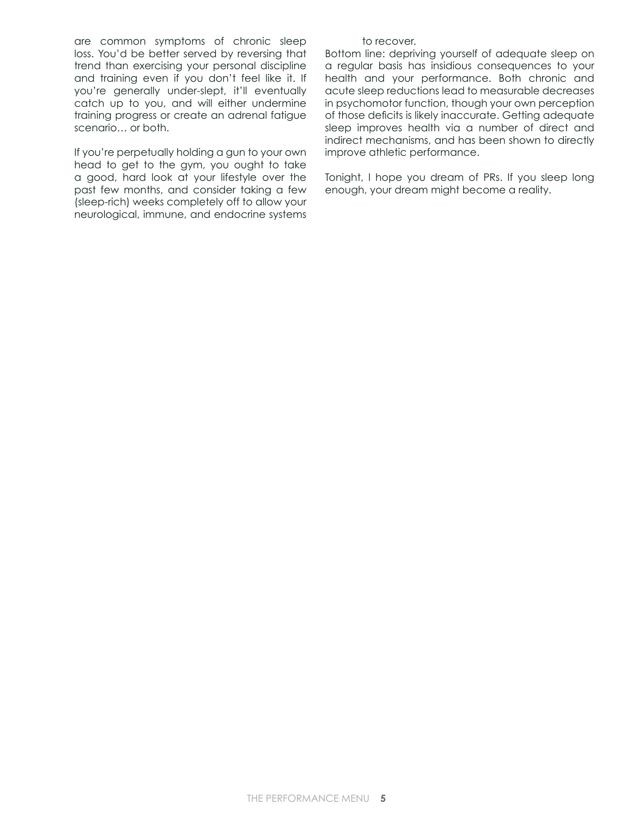are common symptoms of chronic sleep loss. You'd be better served by reversing that trend than exercising your personal discipline and training even if you don't feel like it. If you're generally under-slept, it'll eventually catch up to you, and will either undermine training progress or create an adrenal fatigue scenario… or both.

If you're perpetually holding a gun to your own head to get to the gym, you ought to take a good, hard look at your lifestyle over the past few months, and consider taking a few (sleep-rich) weeks completely off to allow your neurological, immune, and endocrine systems

#### to recover.

Bottom line: depriving yourself of adequate sleep on a regular basis has insidious consequences to your health and your performance. Both chronic and acute sleep reductions lead to measurable decreases in psychomotor function, though your own perception of those deficits is likely inaccurate. Getting adequate sleep improves health via a number of direct and indirect mechanisms, and has been shown to directly improve athletic performance.

Tonight, I hope you dream of PRs. If you sleep long enough, your dream might become a reality.